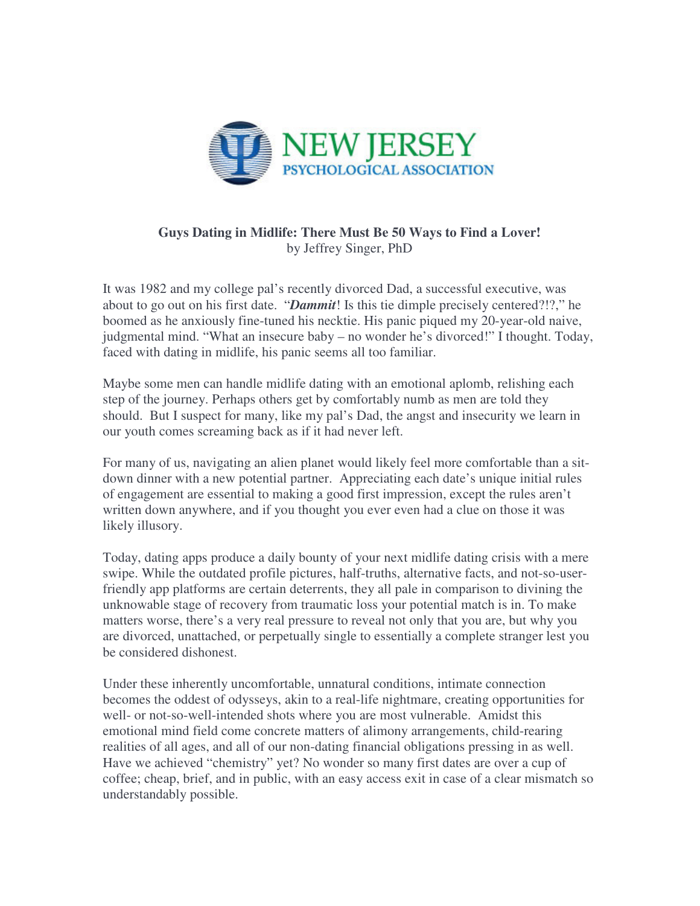

## **Guys Dating in Midlife: There Must Be 50 Ways to Find a Lover!**  by Jeffrey Singer, PhD

It was 1982 and my college pal's recently divorced Dad, a successful executive, was about to go out on his first date. "*Dammit*! Is this tie dimple precisely centered?!?," he boomed as he anxiously fine-tuned his necktie. His panic piqued my 20-year-old naive, judgmental mind. "What an insecure baby – no wonder he's divorced!" I thought. Today, faced with dating in midlife, his panic seems all too familiar.

Maybe some men can handle midlife dating with an emotional aplomb, relishing each step of the journey. Perhaps others get by comfortably numb as men are told they should. But I suspect for many, like my pal's Dad, the angst and insecurity we learn in our youth comes screaming back as if it had never left.

For many of us, navigating an alien planet would likely feel more comfortable than a sitdown dinner with a new potential partner. Appreciating each date's unique initial rules of engagement are essential to making a good first impression, except the rules aren't written down anywhere, and if you thought you ever even had a clue on those it was likely illusory.

Today, dating apps produce a daily bounty of your next midlife dating crisis with a mere swipe. While the outdated profile pictures, half-truths, alternative facts, and not-so-userfriendly app platforms are certain deterrents, they all pale in comparison to divining the unknowable stage of recovery from traumatic loss your potential match is in. To make matters worse, there's a very real pressure to reveal not only that you are, but why you are divorced, unattached, or perpetually single to essentially a complete stranger lest you be considered dishonest.

Under these inherently uncomfortable, unnatural conditions, intimate connection becomes the oddest of odysseys, akin to a real-life nightmare, creating opportunities for well- or not-so-well-intended shots where you are most vulnerable. Amidst this emotional mind field come concrete matters of alimony arrangements, child-rearing realities of all ages, and all of our non-dating financial obligations pressing in as well. Have we achieved "chemistry" yet? No wonder so many first dates are over a cup of coffee; cheap, brief, and in public, with an easy access exit in case of a clear mismatch so understandably possible.